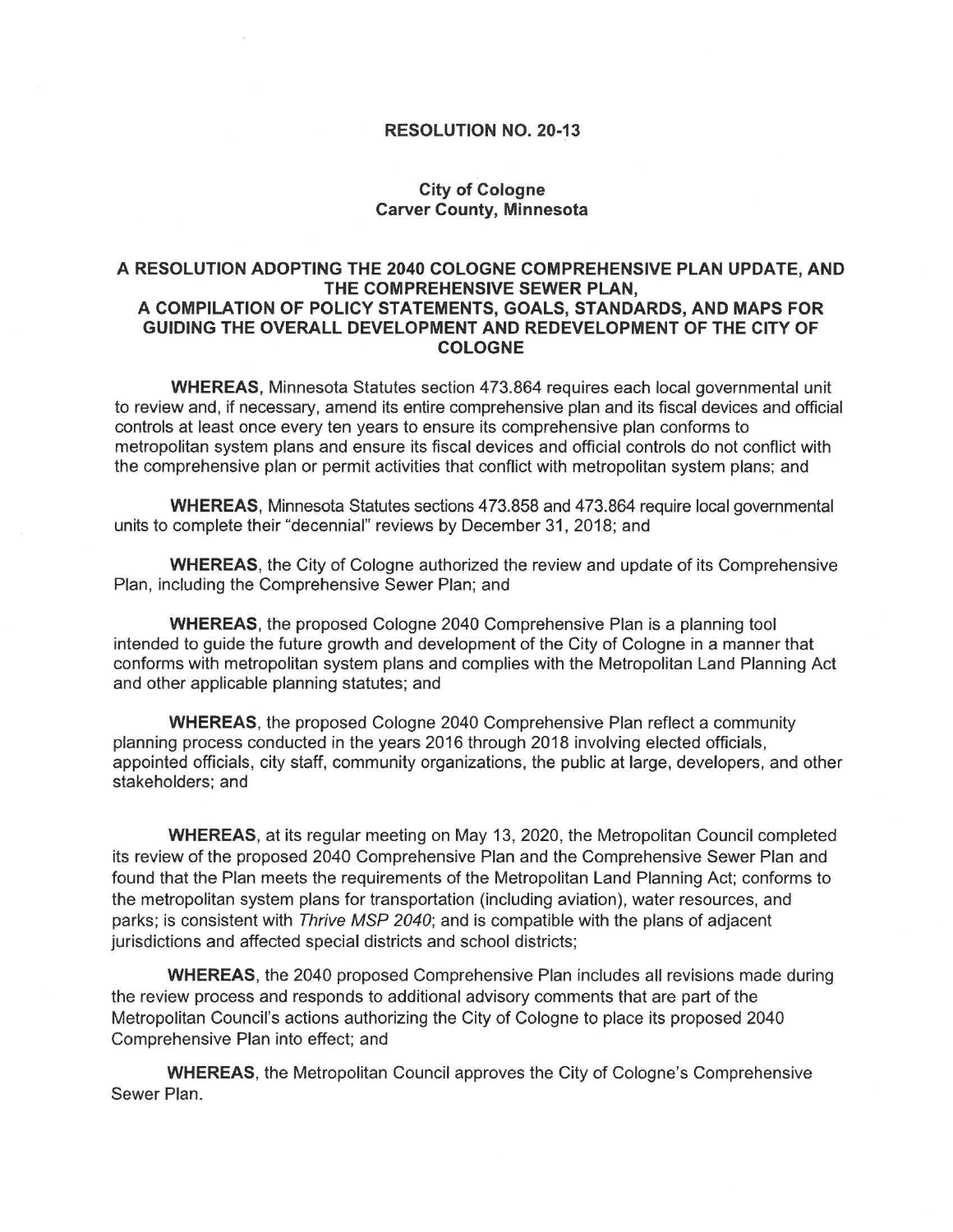## **RESOLUTION NO. 20-13**

## **City of Cologne Carver County, Minnesota**

## **A RESOLUTION ADOPTING THE 2040 COLOGNE COMPREHENSIVE PLAN UPDATE, AND THE COMPREHENSIVE SEWER PLAN, A COMPILATION OF POLICY STATEMENTS, GOALS, STANDARDS, AND MAPS FOR GUIDING THE OVERALL DEVELOPMENT AND REDEVELOPMENT OF THE CITY OF COLOGNE**

**WHEREAS,** Minnesota Statutes section 473.864 requires each local governmental unit to review and, if necessary, amend its entire comprehensive plan and its fiscal devices and official controls at least once every ten years to ensure its comprehensive plan conforms to metropolitan system plans and ensure its fiscal devices and official controls do not conflict with the comprehensive plan or permit activities that conflict with metropolitan system plans; and

**WHEREAS,** Minnesota Statutes sections 473.858 and 473.864 require local governmental units to complete their "decennial" reviews by December 31, 2018; and

**WHEREAS,** the City of Cologne authorized the review and update of its Comprehensive Plan, including the Comprehensive Sewer Plan; and

**WHEREAS,** the proposed Cologne 2040 Comprehensive Plan is a planning tool intended to guide the future growth and development of the City of Cologne in a manner that conforms with metropolitan system plans and complies with the Metropolitan Land Planning Act and other applicable planning statutes; and

**WHEREAS,** the proposed Cologne 2040 Comprehensive Plan reflect a community planning process conducted in the years 2016 through 2018 involving elected officials, appointed officials, city staff, community organizations, the public at large, developers, and other stakeholders; and

**WHEREAS,** at its regular meeting on May 13, 2020, the Metropolitan Council completed its review of the proposed 2040 Comprehensive Plan and the Comprehensive Sewer Plan and found that the Plan meets the requirements of the Metropolitan Land Planning Act; conforms to the metropolitan system plans for transportation (including aviation), water resources, and parks; is consistent with Thrive MSP 2040; and is compatible with the plans of adjacent jurisdictions and affected special districts and school districts;

**WHEREAS,** the 2040 proposed Comprehensive Plan includes all revisions made during the review process and responds to additional advisory comments that are part of the Metropolitan Council's actions authorizing the City of Cologne to place its proposed 2040 Comprehensive Plan into effect; and

**WHEREAS,** the Metropolitan Council approves the City of Cologne's Comprehensive Sewer Plan.